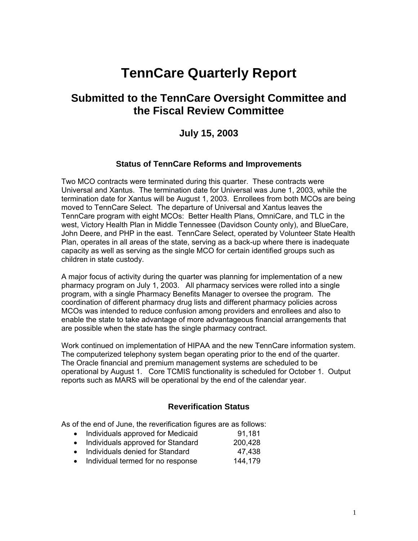# **TennCare Quarterly Report**

## **Submitted to the TennCare Oversight Committee and the Fiscal Review Committee**

### **July 15, 2003**

#### **Status of TennCare Reforms and Improvements**

Two MCO contracts were terminated during this quarter. These contracts were Universal and Xantus. The termination date for Universal was June 1, 2003, while the termination date for Xantus will be August 1, 2003. Enrollees from both MCOs are being moved to TennCare Select. The departure of Universal and Xantus leaves the TennCare program with eight MCOs: Better Health Plans, OmniCare, and TLC in the west, Victory Health Plan in Middle Tennessee (Davidson County only), and BlueCare, John Deere, and PHP in the east. TennCare Select, operated by Volunteer State Health Plan, operates in all areas of the state, serving as a back-up where there is inadequate capacity as well as serving as the single MCO for certain identified groups such as children in state custody.

A major focus of activity during the quarter was planning for implementation of a new pharmacy program on July 1, 2003. All pharmacy services were rolled into a single program, with a single Pharmacy Benefits Manager to oversee the program. The coordination of different pharmacy drug lists and different pharmacy policies across MCOs was intended to reduce confusion among providers and enrollees and also to enable the state to take advantage of more advantageous financial arrangements that are possible when the state has the single pharmacy contract.

Work continued on implementation of HIPAA and the new TennCare information system. The computerized telephony system began operating prior to the end of the quarter. The Oracle financial and premium management systems are scheduled to be operational by August 1. Core TCMIS functionality is scheduled for October 1. Output reports such as MARS will be operational by the end of the calendar year.

#### **Reverification Status**

As of the end of June, the reverification figures are as follows:

- Individuals approved for Medicaid 91,181
- Individuals approved for Standard 200,428
- Individuals denied for Standard 47,438
- Individual termed for no response 144,179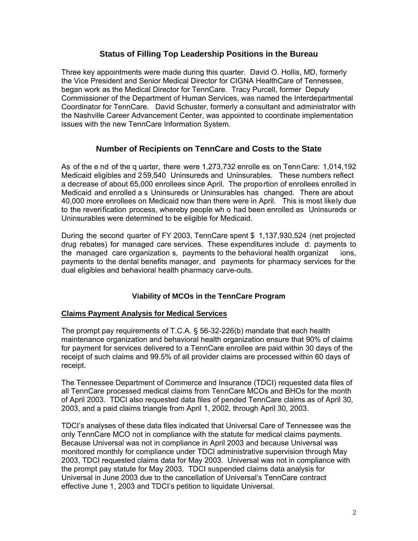#### **Status of Filling Top Leadership Positions in the Bureau**

Three key appointments were made during this quarter. David O. Hollis, MD, formerly the Vice President and Senior Medical Director for CIGNA HealthCare of Tennessee, began work as the Medical Director for TennCare. Tracy Purcell, former Deputy Commissioner of the Department of Human Services, was named the Interdepartmental Coordinator for TennCare. David Schuster, formerly a consultant and administrator with the Nashville Career Advancement Center, was appointed to coordinate implementation issues with the new TennCare Information System.

#### **Number of Recipients on TennCare and Costs to the State**

As of the e nd of the q uarter, there were 1,273,732 enrolle es on TennCare: 1,014,192 Medicaid eligibles and 259,540 Uninsureds and Uninsurables. These numbers reflect a decrease of about 65,000 enrollees since April. The proportion of enrollees enrolled in Medicaid and enrolled a s Uninsureds or Uninsurables has changed. There are about 40,000 more enrollees on Medicaid now than there were in April. This is most likely due to the reverification process, whereby people wh o had been enrolled as Uninsureds or Uninsurables were determined to be eligible for Medicaid.

During the second quarter of FY 2003, TennCare spent \$ 1,137,930,524 (net projected drug rebates) for managed care services. These expenditures include d: payments to the managed care organization s, payments to the behavioral health organizat ions, payments to the dental benefits manager, and payments for pharmacy services for the dual eligibles and behavioral health pharmacy carve-outs.

#### **Viability of MCOs in the TennCare Program**

#### **Claims Payment Analysis for Medical Services**

The prompt pay requirements of T.C.A. § 56-32-226(b) mandate that each health maintenance organization and behavioral health organization ensure that 90% of claims for payment for services delivered to a TennCare enrollee are paid within 30 days of the receipt of such claims and 99.5% of all provider claims are processed within 60 days of receipt.

The Tennessee Department of Commerce and Insurance (TDCI) requested data files of all TennCare processed medical claims from TennCare MCOs and BHOs for the month of April 2003. TDCI also requested data files of pended TennCare claims as of April 30, 2003, and a paid claims triangle from April 1, 2002, through April 30, 2003.

TDCI's analyses of these data files indicated that Universal Care of Tennessee was the only TennCare MCO not in compliance with the statute for medical claims payments. Because Universal was not in compliance in April 2003 and because Universal was monitored monthly for compliance under TDCI administrative supervision through May 2003, TDCI requested claims data for May 2003. Universal was not in compliance with the prompt pay statute for May 2003. TDCI suspended claims data analysis for Universal in June 2003 due to the cancellation of Universal's TennCare contract effective June 1, 2003 and TDCI's petition to liquidate Universal.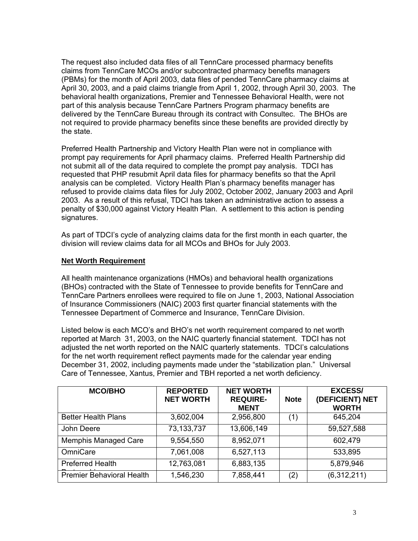The request also included data files of all TennCare processed pharmacy benefits claims from TennCare MCOs and/or subcontracted pharmacy benefits managers (PBMs) for the month of April 2003, data files of pended TennCare pharmacy claims at April 30, 2003, and a paid claims triangle from April 1, 2002, through April 30, 2003. The behavioral health organizations, Premier and Tennessee Behavioral Health, were not part of this analysis because TennCare Partners Program pharmacy benefits are delivered by the TennCare Bureau through its contract with Consultec. The BHOs are not required to provide pharmacy benefits since these benefits are provided directly by the state.

Preferred Health Partnership and Victory Health Plan were not in compliance with prompt pay requirements for April pharmacy claims. Preferred Health Partnership did not submit all of the data required to complete the prompt pay analysis. TDCI has requested that PHP resubmit April data files for pharmacy benefits so that the April analysis can be completed. Victory Health Plan's pharmacy benefits manager has refused to provide claims data files for July 2002, October 2002, January 2003 and April 2003. As a result of this refusal, TDCI has taken an administrative action to assess a penalty of \$30,000 against Victory Health Plan. A settlement to this action is pending signatures.

As part of TDCI's cycle of analyzing claims data for the first month in each quarter, the division will review claims data for all MCOs and BHOs for July 2003.

#### **Net Worth Requirement**

All health maintenance organizations (HMOs) and behavioral health organizations (BHOs) contracted with the State of Tennessee to provide benefits for TennCare and TennCare Partners enrollees were required to file on June 1, 2003, National Association of Insurance Commissioners (NAIC) 2003 first quarter financial statements with the Tennessee Department of Commerce and Insurance, TennCare Division.

Listed below is each MCO's and BHO's net worth requirement compared to net worth reported at March 31, 2003, on the NAIC quarterly financial statement. TDCI has not adjusted the net worth reported on the NAIC quarterly statements. TDCI's calculations for the net worth requirement reflect payments made for the calendar year ending December 31, 2002, including payments made under the "stabilization plan." Universal Care of Tennessee, Xantus, Premier and TBH reported a net worth deficiency.

| <b>MCO/BHO</b>                   | <b>REPORTED</b><br><b>NET WORTH</b> | <b>NET WORTH</b><br><b>REQUIRE-</b><br><b>MENT</b> | <b>Note</b> | <b>EXCESS/</b><br>(DEFICIENT) NET<br><b>WORTH</b> |
|----------------------------------|-------------------------------------|----------------------------------------------------|-------------|---------------------------------------------------|
| <b>Better Health Plans</b>       | 3,602,004                           | 2,956,800                                          | (1)         | 645,204                                           |
| John Deere                       | 73, 133, 737                        | 13,606,149                                         |             | 59,527,588                                        |
| <b>Memphis Managed Care</b>      | 9,554,550                           | 8,952,071                                          |             | 602,479                                           |
| OmniCare                         | 7,061,008                           | 6,527,113                                          |             | 533,895                                           |
| <b>Preferred Health</b>          | 12,763,081                          | 6,883,135                                          |             | 5,879,946                                         |
| <b>Premier Behavioral Health</b> | 1,546,230                           | 7,858,441                                          | (2)         | (6,312,211)                                       |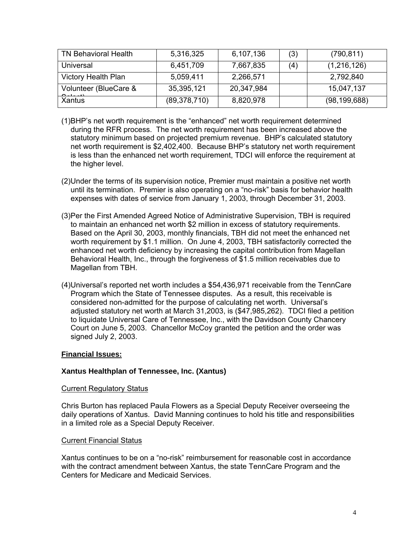| <b>TN Behavioral Health</b>          | 5,316,325      | 6,107,136  | (3) | (790, 811)     |
|--------------------------------------|----------------|------------|-----|----------------|
| Universal                            | 6,451,709      | 7,667,835  | (4) | (1,216,126)    |
| <b>Victory Health Plan</b>           | 5,059,411      | 2,266,571  |     | 2,792,840      |
| Volunteer (BlueCare &<br>$0 - 1 - 1$ | 35,395,121     | 20,347,984 |     | 15,047,137     |
| Xantus                               | (89, 378, 710) | 8,820,978  |     | (98, 199, 688) |

- (1)BHP's net worth requirement is the "enhanced" net worth requirement determined during the RFR process. The net worth requirement has been increased above the statutory minimum based on projected premium revenue. BHP's calculated statutory net worth requirement is \$2,402,400. Because BHP's statutory net worth requirement is less than the enhanced net worth requirement, TDCI will enforce the requirement at the higher level.
- (2)Under the terms of its supervision notice, Premier must maintain a positive net worth until its termination. Premier is also operating on a "no-risk" basis for behavior health expenses with dates of service from January 1, 2003, through December 31, 2003.
- (3)Per the First Amended Agreed Notice of Administrative Supervision, TBH is required to maintain an enhanced net worth \$2 million in excess of statutory requirements. Based on the April 30, 2003, monthly financials, TBH did not meet the enhanced net worth requirement by \$1.1 million. On June 4, 2003, TBH satisfactorily corrected the enhanced net worth deficiency by increasing the capital contribution from Magellan Behavioral Health, Inc., through the forgiveness of \$1.5 million receivables due to Magellan from TBH.
- (4)Universal's reported net worth includes a \$54,436,971 receivable from the TennCare Program which the State of Tennessee disputes. As a result, this receivable is considered non-admitted for the purpose of calculating net worth. Universal's adjusted statutory net worth at March 31,2003, is (\$47,985,262). TDCI filed a petition to liquidate Universal Care of Tennessee, Inc., with the Davidson County Chancery Court on June 5, 2003. Chancellor McCoy granted the petition and the order was signed July 2, 2003.

#### **Financial Issues:**

#### **Xantus Healthplan of Tennessee, Inc. (Xantus)**

#### Current Regulatory Status

Chris Burton has replaced Paula Flowers as a Special Deputy Receiver overseeing the daily operations of Xantus. David Manning continues to hold his title and responsibilities in a limited role as a Special Deputy Receiver.

#### Current Financial Status

Xantus continues to be on a "no-risk" reimbursement for reasonable cost in accordance with the contract amendment between Xantus, the state TennCare Program and the Centers for Medicare and Medicaid Services.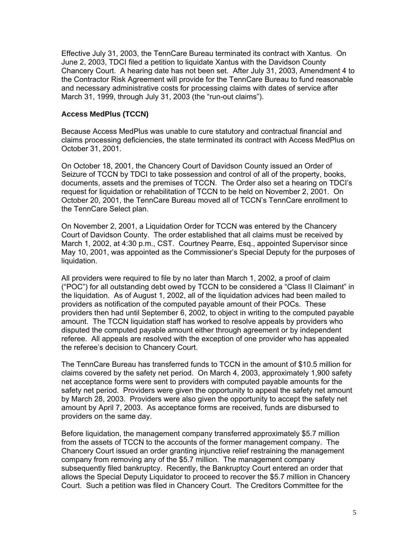Effective July 31, 2003, the TennCare Bureau terminated its contract with Xantus. On June 2, 2003, TDCI filed a petition to liquidate Xantus with the Davidson County Chancery Court. A hearing date has not been set. After July 31, 2003, Amendment 4 to the Contractor Risk Agreement will provide for the TennCare Bureau to fund reasonable and necessary administrative costs for processing claims with dates of service after March 31, 1999, through July 31, 2003 (the "run-out claims").

#### **Access MedPlus (TCCN)**

Because Access MedPlus was unable to cure statutory and contractual financial and claims processing deficiencies, the state terminated its contract with Access MedPlus on October 31, 2001.

On October 18, 2001, the Chancery Court of Davidson County issued an Order of Seizure of TCCN by TDCI to take possession and control of all of the property, books, documents, assets and the premises of TCCN. The Order also set a hearing on TDCI's request for liquidation or rehabilitation of TCCN to be held on November 2, 2001. On October 20, 2001, the TennCare Bureau moved all of TCCN's TennCare enrollment to the TennCare Select plan.

On November 2, 2001, a Liquidation Order for TCCN was entered by the Chancery Court of Davidson County. The order established that all claims must be received by March 1, 2002, at 4:30 p.m., CST. Courtney Pearre, Esq., appointed Supervisor since May 10, 2001, was appointed as the Commissioner's Special Deputy for the purposes of liquidation.

All providers were required to file by no later than March 1, 2002, a proof of claim ("POC") for all outstanding debt owed by TCCN to be considered a "Class II Claimant" in the liquidation. As of August 1, 2002, all of the liquidation advices had been mailed to providers as notification of the computed payable amount of their POCs. These providers then had until September 6, 2002, to object in writing to the computed payable amount. The TCCN liquidation staff has worked to resolve appeals by providers who disputed the computed payable amount either through agreement or by independent referee. All appeals are resolved with the exception of one provider who has appealed the referee's decision to Chancery Court.

The TennCare Bureau has transferred funds to TCCN in the amount of \$10.5 million for claims covered by the safety net period. On March 4, 2003, approximately 1,900 safety net acceptance forms were sent to providers with computed payable amounts for the safety net period. Providers were given the opportunity to appeal the safety net amount by March 28, 2003. Providers were also given the opportunity to accept the safety net amount by April 7, 2003. As acceptance forms are received, funds are disbursed to providers on the same day.

Before liquidation, the management company transferred approximately \$5.7 million from the assets of TCCN to the accounts of the former management company. The Chancery Court issued an order granting injunctive relief restraining the management company from removing any of the \$5.7 million. The management company subsequently filed bankruptcy. Recently, the Bankruptcy Court entered an order that allows the Special Deputy Liquidator to proceed to recover the \$5.7 million in Chancery Court. Such a petition was filed in Chancery Court. The Creditors Committee for the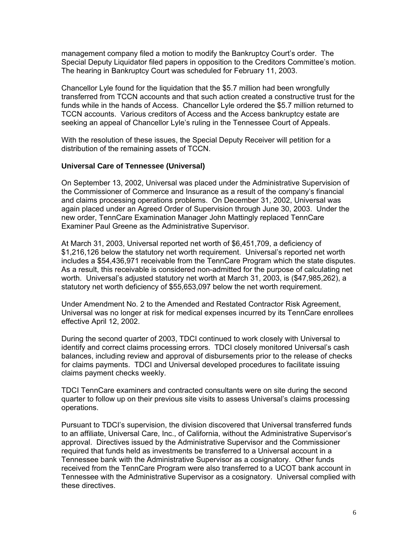management company filed a motion to modify the Bankruptcy Court's order. The Special Deputy Liquidator filed papers in opposition to the Creditors Committee's motion. The hearing in Bankruptcy Court was scheduled for February 11, 2003.

Chancellor Lyle found for the liquidation that the \$5.7 million had been wrongfully transferred from TCCN accounts and that such action created a constructive trust for the funds while in the hands of Access. Chancellor Lyle ordered the \$5.7 million returned to TCCN accounts. Various creditors of Access and the Access bankruptcy estate are seeking an appeal of Chancellor Lyle's ruling in the Tennessee Court of Appeals.

With the resolution of these issues, the Special Deputy Receiver will petition for a distribution of the remaining assets of TCCN.

#### **Universal Care of Tennessee (Universal)**

On September 13, 2002, Universal was placed under the Administrative Supervision of the Commissioner of Commerce and Insurance as a result of the company's financial and claims processing operations problems. On December 31, 2002, Universal was again placed under an Agreed Order of Supervision through June 30, 2003. Under the new order, TennCare Examination Manager John Mattingly replaced TennCare Examiner Paul Greene as the Administrative Supervisor.

At March 31, 2003, Universal reported net worth of \$6,451,709, a deficiency of \$1,216,126 below the statutory net worth requirement. Universal's reported net worth includes a \$54,436,971 receivable from the TennCare Program which the state disputes. As a result, this receivable is considered non-admitted for the purpose of calculating net worth. Universal's adjusted statutory net worth at March 31, 2003, is (\$47,985,262), a statutory net worth deficiency of \$55,653,097 below the net worth requirement.

Under Amendment No. 2 to the Amended and Restated Contractor Risk Agreement, Universal was no longer at risk for medical expenses incurred by its TennCare enrollees effective April 12, 2002.

During the second quarter of 2003, TDCI continued to work closely with Universal to identify and correct claims processing errors. TDCI closely monitored Universal's cash balances, including review and approval of disbursements prior to the release of checks for claims payments. TDCI and Universal developed procedures to facilitate issuing claims payment checks weekly.

TDCI TennCare examiners and contracted consultants were on site during the second quarter to follow up on their previous site visits to assess Universal's claims processing operations.

Pursuant to TDCI's supervision, the division discovered that Universal transferred funds to an affiliate, Universal Care, Inc., of California, without the Administrative Supervisor's approval. Directives issued by the Administrative Supervisor and the Commissioner required that funds held as investments be transferred to a Universal account in a Tennessee bank with the Administrative Supervisor as a cosignatory. Other funds received from the TennCare Program were also transferred to a UCOT bank account in Tennessee with the Administrative Supervisor as a cosignatory. Universal complied with these directives.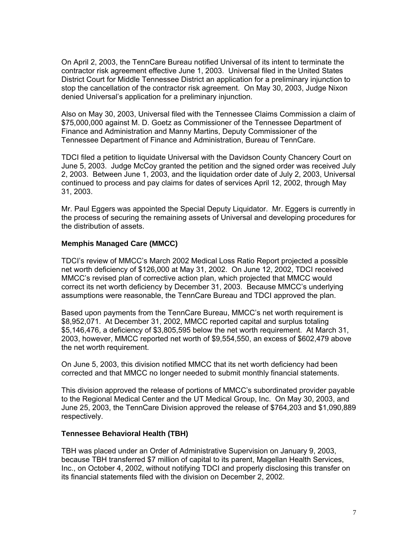On April 2, 2003, the TennCare Bureau notified Universal of its intent to terminate the contractor risk agreement effective June 1, 2003. Universal filed in the United States District Court for Middle Tennessee District an application for a preliminary injunction to stop the cancellation of the contractor risk agreement. On May 30, 2003, Judge Nixon denied Universal's application for a preliminary injunction.

Also on May 30, 2003, Universal filed with the Tennessee Claims Commission a claim of \$75,000,000 against M. D. Goetz as Commissioner of the Tennessee Department of Finance and Administration and Manny Martins, Deputy Commissioner of the Tennessee Department of Finance and Administration, Bureau of TennCare.

TDCI filed a petition to liquidate Universal with the Davidson County Chancery Court on June 5, 2003. Judge McCoy granted the petition and the signed order was received July 2, 2003. Between June 1, 2003, and the liquidation order date of July 2, 2003, Universal continued to process and pay claims for dates of services April 12, 2002, through May 31, 2003.

Mr. Paul Eggers was appointed the Special Deputy Liquidator. Mr. Eggers is currently in the process of securing the remaining assets of Universal and developing procedures for the distribution of assets.

#### **Memphis Managed Care (MMCC)**

TDCI's review of MMCC's March 2002 Medical Loss Ratio Report projected a possible net worth deficiency of \$126,000 at May 31, 2002. On June 12, 2002, TDCI received MMCC's revised plan of corrective action plan, which projected that MMCC would correct its net worth deficiency by December 31, 2003. Because MMCC's underlying assumptions were reasonable, the TennCare Bureau and TDCI approved the plan.

Based upon payments from the TennCare Bureau, MMCC's net worth requirement is \$8,952,071. At December 31, 2002, MMCC reported capital and surplus totaling \$5,146,476, a deficiency of \$3,805,595 below the net worth requirement. At March 31, 2003, however, MMCC reported net worth of \$9,554,550, an excess of \$602,479 above the net worth requirement.

On June 5, 2003, this division notified MMCC that its net worth deficiency had been corrected and that MMCC no longer needed to submit monthly financial statements.

This division approved the release of portions of MMCC's subordinated provider payable to the Regional Medical Center and the UT Medical Group, Inc. On May 30, 2003, and June 25, 2003, the TennCare Division approved the release of \$764,203 and \$1,090,889 respectively.

#### **Tennessee Behavioral Health (TBH)**

TBH was placed under an Order of Administrative Supervision on January 9, 2003, because TBH transferred \$7 million of capital to its parent, Magellan Health Services, Inc., on October 4, 2002, without notifying TDCI and properly disclosing this transfer on its financial statements filed with the division on December 2, 2002.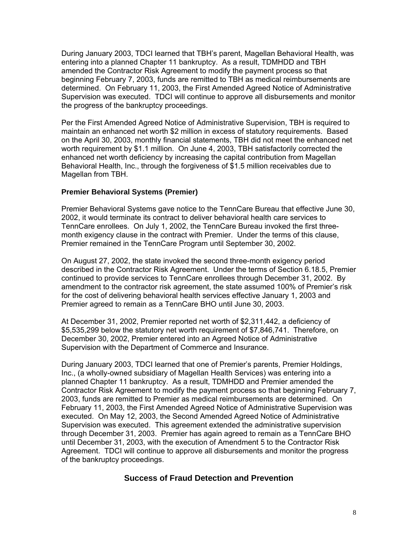During January 2003, TDCI learned that TBH's parent, Magellan Behavioral Health, was entering into a planned Chapter 11 bankruptcy. As a result, TDMHDD and TBH amended the Contractor Risk Agreement to modify the payment process so that beginning February 7, 2003, funds are remitted to TBH as medical reimbursements are determined. On February 11, 2003, the First Amended Agreed Notice of Administrative Supervision was executed. TDCI will continue to approve all disbursements and monitor the progress of the bankruptcy proceedings.

Per the First Amended Agreed Notice of Administrative Supervision, TBH is required to maintain an enhanced net worth \$2 million in excess of statutory requirements. Based on the April 30, 2003, monthly financial statements, TBH did not meet the enhanced net worth requirement by \$1.1 million. On June 4, 2003, TBH satisfactorily corrected the enhanced net worth deficiency by increasing the capital contribution from Magellan Behavioral Health, Inc., through the forgiveness of \$1.5 million receivables due to Magellan from TBH.

#### **Premier Behavioral Systems (Premier)**

Premier Behavioral Systems gave notice to the TennCare Bureau that effective June 30, 2002, it would terminate its contract to deliver behavioral health care services to TennCare enrollees. On July 1, 2002, the TennCare Bureau invoked the first threemonth exigency clause in the contract with Premier. Under the terms of this clause, Premier remained in the TennCare Program until September 30, 2002.

On August 27, 2002, the state invoked the second three-month exigency period described in the Contractor Risk Agreement. Under the terms of Section 6.18.5, Premier continued to provide services to TennCare enrollees through December 31, 2002. By amendment to the contractor risk agreement, the state assumed 100% of Premier's risk for the cost of delivering behavioral health services effective January 1, 2003 and Premier agreed to remain as a TennCare BHO until June 30, 2003.

At December 31, 2002, Premier reported net worth of \$2,311,442, a deficiency of \$5,535,299 below the statutory net worth requirement of \$7,846,741. Therefore, on December 30, 2002, Premier entered into an Agreed Notice of Administrative Supervision with the Department of Commerce and Insurance.

During January 2003, TDCI learned that one of Premier's parents, Premier Holdings, Inc., (a wholly-owned subsidiary of Magellan Health Services) was entering into a planned Chapter 11 bankruptcy. As a result, TDMHDD and Premier amended the Contractor Risk Agreement to modify the payment process so that beginning February 7, 2003, funds are remitted to Premier as medical reimbursements are determined. On February 11, 2003, the First Amended Agreed Notice of Administrative Supervision was executed. On May 12, 2003, the Second Amended Agreed Notice of Administrative Supervision was executed. This agreement extended the administrative supervision through December 31, 2003. Premier has again agreed to remain as a TennCare BHO until December 31, 2003, with the execution of Amendment 5 to the Contractor Risk Agreement. TDCI will continue to approve all disbursements and monitor the progress of the bankruptcy proceedings.

#### **Success of Fraud Detection and Prevention**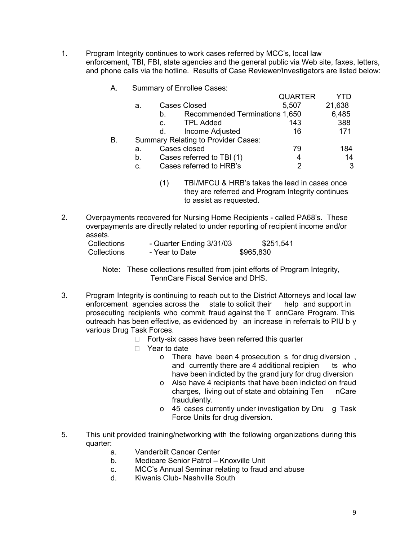- 1. Program Integrity continues to work cases referred by MCC's, local law enforcement, TBI, FBI, state agencies and the general public via Web site, faxes, letters, and phone calls via the hotline. Results of Case Reviewer/Investigators are listed below:
	- A. Summary of Enrollee Cases:

|    |    |    |                                            | <b>QUARTER</b> | YTD    |
|----|----|----|--------------------------------------------|----------------|--------|
|    | а. |    | Cases Closed                               | 5,507          | 21,638 |
|    |    | b. | Recommended Terminations 1,650             |                | 6,485  |
|    |    | C. | <b>TPL Added</b>                           | 143            | 388    |
|    |    | d. | Income Adjusted                            | 16             | 171    |
| В. |    |    | <b>Summary Relating to Provider Cases:</b> |                |        |
|    | а. |    | Cases closed                               | 79             | 184    |
|    | b. |    | Cases referred to TBI (1)                  | 4              | 14     |
|    | c. |    | Cases referred to HRB's                    |                | 3      |
|    |    |    |                                            |                |        |

- (1) TBI/MFCU & HRB's takes the lead in cases once they are referred and Program Integrity continues to assist as requested.
- 2. Overpayments recovered for Nursing Home Recipients called PA68's. These overpayments are directly related to under reporting of recipient income and/or assets.

| Collections | - Quarter Ending 3/31/03 | \$251,541 |
|-------------|--------------------------|-----------|
| Collections | - Year to Date           | \$965,830 |

 Note: These collections resulted from joint efforts of Program Integrity, TennCare Fiscal Service and DHS.

- 3. Program Integrity is continuing to reach out to the District Attorneys and local law<br>enforcement agencies across the state to solicit their help and support in enforcement agencies across the state to solicit their prosecuting recipients who commit fraud against the T ennCare Program. This outreach has been effective, as evidenced by an increase in referrals to PIU b y various Drug Task Forces.
	- $\Box$  Forty-six cases have been referred this quarter
	- □ Year to date
		- o There have been 4 prosecution s for drug diversion , and currently there are 4 additional recipien ts who have been indicted by the grand jury for drug diversion
		- o Also have 4 recipients that have been indicted on fraud charges. living out of state and obtaining Ten nCare charges, living out of state and obtaining Ten fraudulently.
		- o 45 cases currently under investigation by Dru g Task Force Units for drug diversion.
- 5. This unit provided training/networking with the following organizations during this quarter:
	- a. Vanderbilt Cancer Center
	- b. Medicare Senior Patrol Knoxville Unit
	- c. MCC's Annual Seminar relating to fraud and abuse
	- d. Kiwanis Club- Nashville South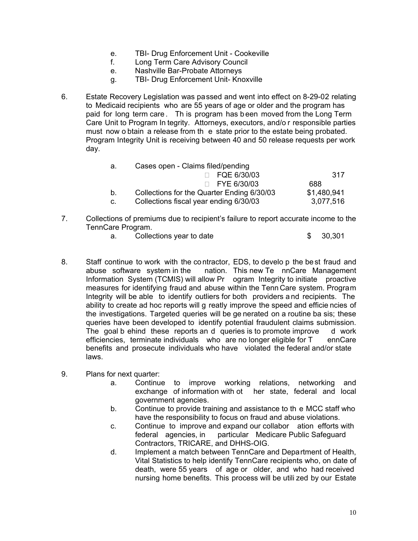- e. TBI- Drug Enforcement Unit Cookeville
- f. Long Term Care Advisory Council
- e. Nashville Bar-Probate Attorneys
- g. TBI- Drug Enforcement Unit- Knoxville
- 6. Estate Recovery Legislation was passed and went into effect on 8-29-02 relating to Medicaid recipients who are 55 years of age or older and the program has paid for long term care . Th is program has b een moved from the Long Term Care Unit to Program In tegrity. Attorneys, executors, and/o r responsible parties must now o btain a release from th e state prior to the estate being probated. Program Integrity Unit is receiving between 40 and 50 release requests per work day.

| а.             | Cases open - Claims filed/pending          |             |
|----------------|--------------------------------------------|-------------|
|                | $\Box$ FQE 6/30/03                         | 317         |
|                | $\Box$ FYE 6/30/03                         | 688         |
| b <sub>1</sub> | Collections for the Quarter Ending 6/30/03 | \$1,480,941 |
| C.             | Collections fiscal year ending 6/30/03     | 3,077,516   |

- 7. Collections of premiums due to recipient's failure to report accurate income to the TennCare Program.
	- a. Collections year to date  $$30,301$
- 8. Staff continue to work with the contractor, EDS, to develo p the best fraud and abuse software system in the nation. This new Te nnCare Management Information System (TCMIS) will allow Pr ogram Integrity to initiate proactive measures for identifying fraud and abuse within the Tenn Care system. Program Integrity will be able to identify outliers for both providers a nd recipients. The ability to create ad hoc reports will g reatly improve the speed and efficie ncies of the investigations. Targeted queries will be ge nerated on a routine ba sis; these queries have been developed to identify potential fraudulent claims submission. The goal b ehind these reports an d queries is to promote improve d work efficiencies, terminate individuals who are no longer eligible for T ennCare benefits and prosecute individuals who have violated the federal and/or state laws.
- 9. Plans for next quarter:
	- a. Continue to improve working relations, networking and exchange of information with ot her state, federal and local government agencies.
	- b. Continue to provide training and assistance to th e MCC staff who have the responsibility to focus on fraud and abuse violations.
	- c. Continue to improve and expand our collabor ation efforts with federal agencies, in particular Medicare Public Safeguard Contractors, TRICARE, and DHHS-OIG.
	- d. Implement a match between TennCare and Department of Health, Vital Statistics to help identify TennCare recipients who, on date of death, were 55 years of age or older, and who had received nursing home benefits. This process will be utili zed by our Estate